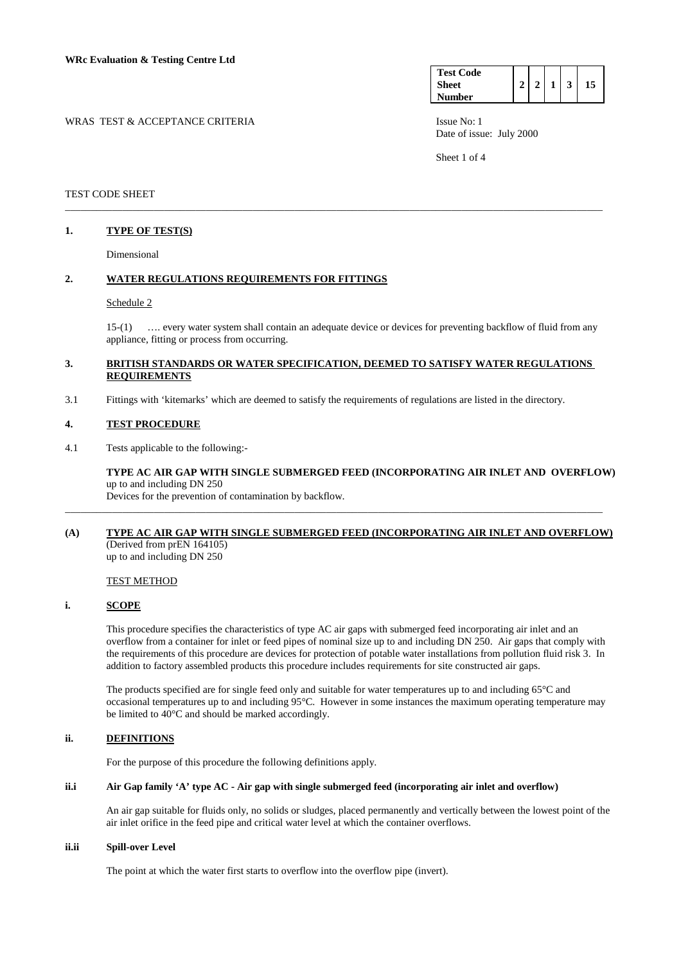| <b>Test Code</b> |  |   |    |
|------------------|--|---|----|
| Sheet            |  | 3 | 15 |
| <b>Number</b>    |  |   |    |

WRAS TEST & ACCEPTANCE CRITERIA ISSUE No: 1

Date of issue: July 2000

Sheet 1 of 4

## TEST CODE SHEET

### **1. TYPE OF TEST(S)**

Dimensional

## **2. WATER REGULATIONS REQUIREMENTS FOR FITTINGS**

#### Schedule 2

 15-(1) …. every water system shall contain an adequate device or devices for preventing backflow of fluid from any appliance, fitting or process from occurring.

# **3. BRITISH STANDARDS OR WATER SPECIFICATION, DEEMED TO SATISFY WATER REGULATIONS REQUIREMENTS**

\_\_\_\_\_\_\_\_\_\_\_\_\_\_\_\_\_\_\_\_\_\_\_\_\_\_\_\_\_\_\_\_\_\_\_\_\_\_\_\_\_\_\_\_\_\_\_\_\_\_\_\_\_\_\_\_\_\_\_\_\_\_\_\_\_\_\_\_\_\_\_\_\_\_\_\_\_\_\_\_\_\_\_\_\_\_\_\_\_\_\_\_\_\_\_\_\_\_\_\_\_\_\_

3.1 Fittings with 'kitemarks' which are deemed to satisfy the requirements of regulations are listed in the directory.

#### **4. TEST PROCEDURE**

4.1 Tests applicable to the following:-

**TYPE AC AIR GAP WITH SINGLE SUBMERGED FEED (INCORPORATING AIR INLET AND OVERFLOW)** up to and including DN 250 Devices for the prevention of contamination by backflow.

## **(A) TYPE AC AIR GAP WITH SINGLE SUBMERGED FEED (INCORPORATING AIR INLET AND OVERFLOW)** (Derived from prEN 164105) up to and including DN 250

\_\_\_\_\_\_\_\_\_\_\_\_\_\_\_\_\_\_\_\_\_\_\_\_\_\_\_\_\_\_\_\_\_\_\_\_\_\_\_\_\_\_\_\_\_\_\_\_\_\_\_\_\_\_\_\_\_\_\_\_\_\_\_\_\_\_\_\_\_\_\_\_\_\_\_\_\_\_\_\_\_\_\_\_\_\_\_\_\_\_\_\_\_\_\_\_\_\_\_\_\_\_\_

# TEST METHOD

### **i. SCOPE**

 This procedure specifies the characteristics of type AC air gaps with submerged feed incorporating air inlet and an overflow from a container for inlet or feed pipes of nominal size up to and including DN 250. Air gaps that comply with the requirements of this procedure are devices for protection of potable water installations from pollution fluid risk 3. In addition to factory assembled products this procedure includes requirements for site constructed air gaps.

 The products specified are for single feed only and suitable for water temperatures up to and including 65°C and occasional temperatures up to and including 95°C. However in some instances the maximum operating temperature may be limited to 40°C and should be marked accordingly.

# **ii. DEFINITIONS**

For the purpose of this procedure the following definitions apply.

#### **ii.i Air Gap family 'A' type AC - Air gap with single submerged feed (incorporating air inlet and overflow)**

 An air gap suitable for fluids only, no solids or sludges, placed permanently and vertically between the lowest point of the air inlet orifice in the feed pipe and critical water level at which the container overflows.

#### **ii.ii Spill-over Level**

The point at which the water first starts to overflow into the overflow pipe (invert).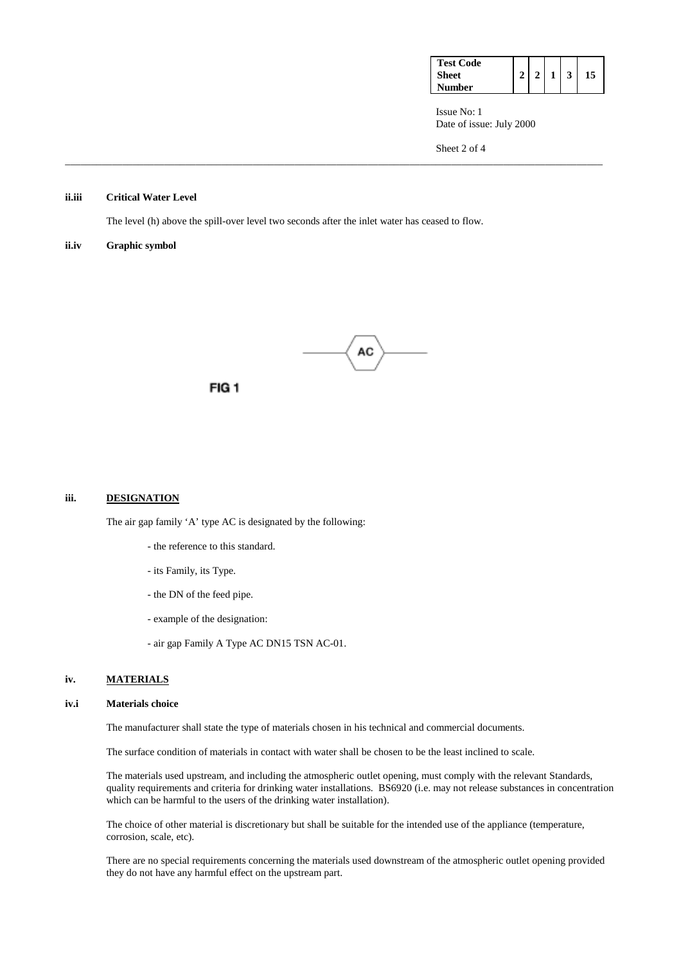| <b>Test Code</b> |  |  |    |
|------------------|--|--|----|
| Sheet            |  |  | 15 |
| <b>Number</b>    |  |  |    |

 Issue No: 1 Date of issue: July 2000

Sheet 2 of 4

#### **ii.iii Critical Water Level**

The level (h) above the spill-over level two seconds after the inlet water has ceased to flow.

#### **ii.iv Graphic symbol**



\_\_\_\_\_\_\_\_\_\_\_\_\_\_\_\_\_\_\_\_\_\_\_\_\_\_\_\_\_\_\_\_\_\_\_\_\_\_\_\_\_\_\_\_\_\_\_\_\_\_\_\_\_\_\_\_\_\_\_\_\_\_\_\_\_\_\_\_\_\_\_\_\_\_\_\_\_\_\_\_\_\_\_\_\_\_\_\_\_\_\_\_\_\_\_\_\_\_\_\_\_\_\_

FIG<sub>1</sub>

#### **iii. DESIGNATION**

The air gap family 'A' type AC is designated by the following:

- the reference to this standard.
- its Family, its Type.
- the DN of the feed pipe.
- example of the designation:
- air gap Family A Type AC DN15 TSN AC-01.

#### **iv. MATERIALS**

#### **iv.i Materials choice**

The manufacturer shall state the type of materials chosen in his technical and commercial documents.

The surface condition of materials in contact with water shall be chosen to be the least inclined to scale.

 The materials used upstream, and including the atmospheric outlet opening, must comply with the relevant Standards, quality requirements and criteria for drinking water installations. BS6920 (i.e. may not release substances in concentration which can be harmful to the users of the drinking water installation).

 The choice of other material is discretionary but shall be suitable for the intended use of the appliance (temperature, corrosion, scale, etc).

 There are no special requirements concerning the materials used downstream of the atmospheric outlet opening provided they do not have any harmful effect on the upstream part.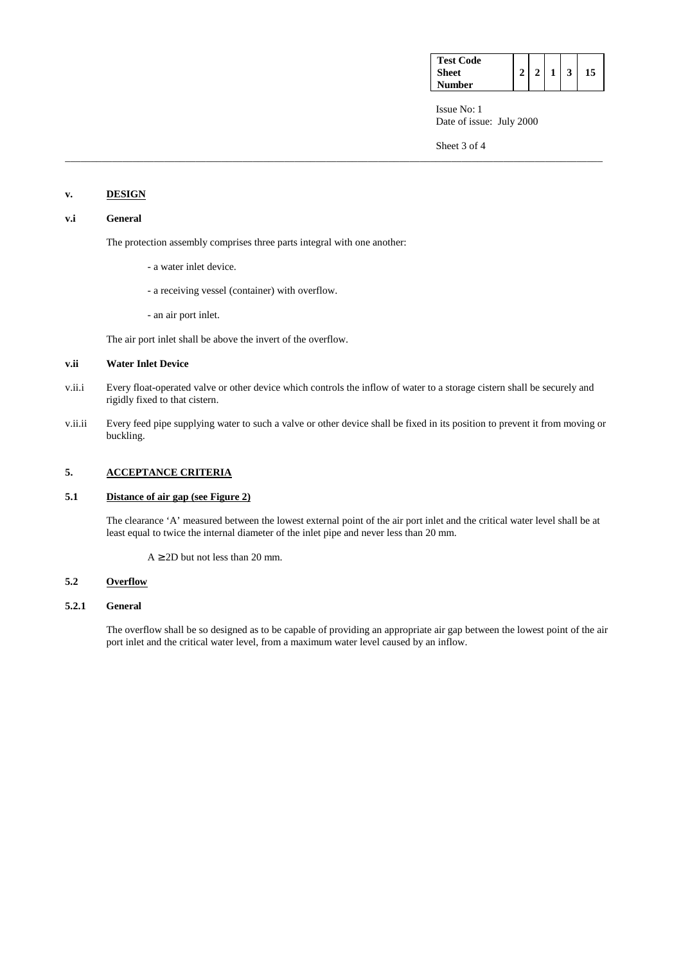| <b>Test Code</b> |  |  |  |
|------------------|--|--|--|
| <b>Sheet</b>     |  |  |  |
| <b>Number</b>    |  |  |  |

 Issue No: 1 Date of issue: July 2000

Sheet 3 of 4

# **v. DESIGN**

## **v.i General**

The protection assembly comprises three parts integral with one another:

- a water inlet device.
- a receiving vessel (container) with overflow.
- an air port inlet.

The air port inlet shall be above the invert of the overflow.

## **v.ii Water Inlet Device**

v.ii.i Every float-operated valve or other device which controls the inflow of water to a storage cistern shall be securely and rigidly fixed to that cistern.

\_\_\_\_\_\_\_\_\_\_\_\_\_\_\_\_\_\_\_\_\_\_\_\_\_\_\_\_\_\_\_\_\_\_\_\_\_\_\_\_\_\_\_\_\_\_\_\_\_\_\_\_\_\_\_\_\_\_\_\_\_\_\_\_\_\_\_\_\_\_\_\_\_\_\_\_\_\_\_\_\_\_\_\_\_\_\_\_\_\_\_\_\_\_\_\_\_\_\_\_\_\_\_

v.ii.ii Every feed pipe supplying water to such a valve or other device shall be fixed in its position to prevent it from moving or buckling.

# **5. ACCEPTANCE CRITERIA**

# **5.1 Distance of air gap (see Figure 2)**

 The clearance 'A' measured between the lowest external point of the air port inlet and the critical water level shall be at least equal to twice the internal diameter of the inlet pipe and never less than 20 mm.

 $A \geq 2D$  but not less than 20 mm.

# **5.2 Overflow**

### **5.2.1 General**

The overflow shall be so designed as to be capable of providing an appropriate air gap between the lowest point of the air port inlet and the critical water level, from a maximum water level caused by an inflow.